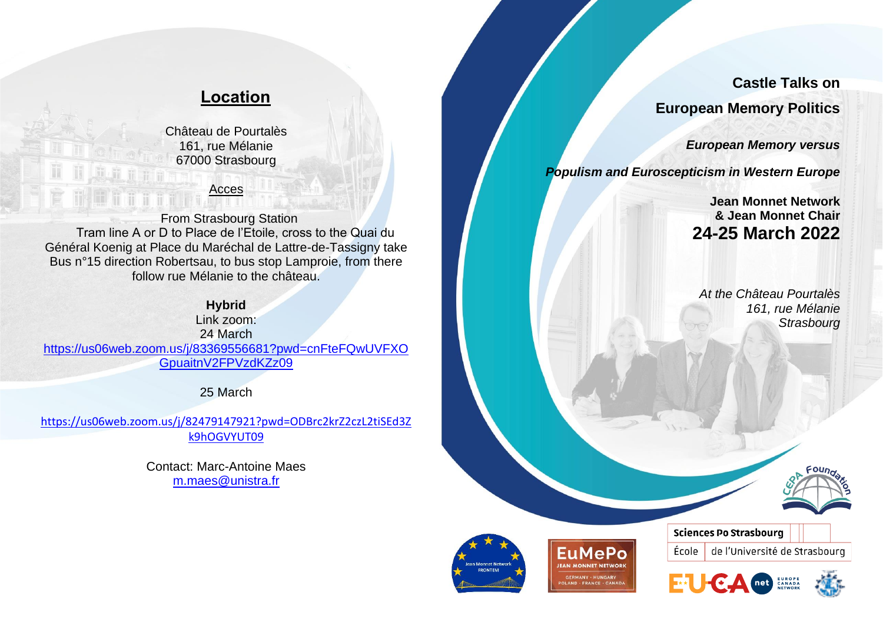# **Location**

Château de Pourtalès 161, rue Mélanie 67000 Strasbourg

## Acces

From Strasbourg Station Tram line A or D to Place de l'Etoile, cross to the Quai du Général Koenig at Place du Maréchal de Lattre-de-Tassigny take Bus n°15 direction Robertsau, to bus stop Lamproie, from there follow rue Mélanie to the château.

## **Hybrid**

Link zoom: 24 March [https://us06web.zoom.us/j/83369556681?pwd=cnFteFQwUVFXO](https://us06web.zoom.us/j/83369556681?pwd=cnFteFQwUVFXOGpuaitnV2FPVzdKZz09) [GpuaitnV2FPVzdKZz09](https://us06web.zoom.us/j/83369556681?pwd=cnFteFQwUVFXOGpuaitnV2FPVzdKZz09)

25 March

[https://us06web.zoom.us/j/82479147921?pwd=ODBrc2krZ2czL2tiSEd3Z](https://us06web.zoom.us/j/82479147921?pwd=ODBrc2krZ2czL2tiSEd3Zk9hOGVYUT09) [k9hOGVYUT09](https://us06web.zoom.us/j/82479147921?pwd=ODBrc2krZ2czL2tiSEd3Zk9hOGVYUT09)

> Contact: Marc-Antoine Maes [m.maes@unistra.fr](mailto:m.maes@unistra.fr)

**Castle Talks on European Memory Politics** 

*European Memory versus* 

*Populism and Euroscepticism in Western Europe* 

**Jean Monnet Network & Jean Monnet Chair 24-25 March 2022**

*At the Château Pourtalès 161, rue Mélanie Strasbourg*











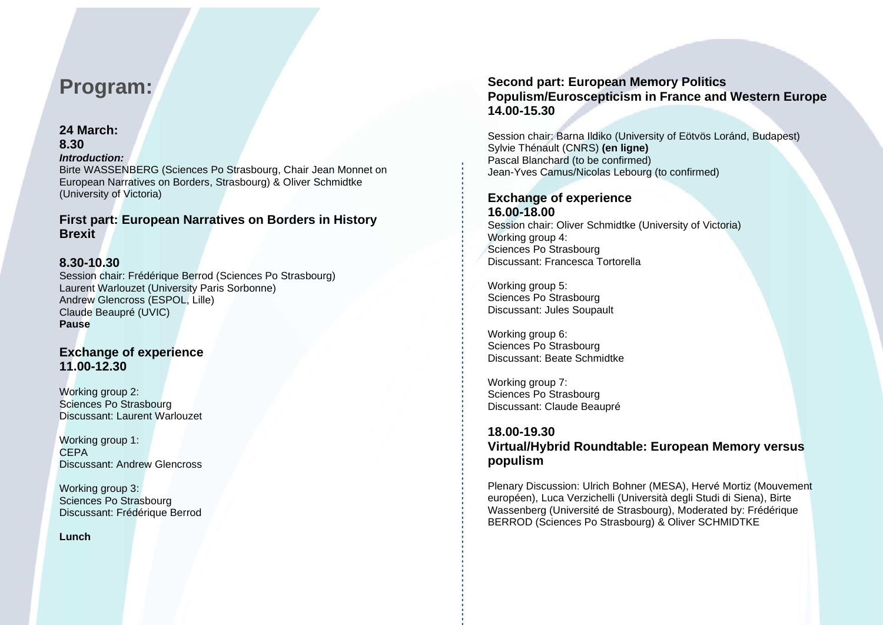# **Program:**

### **24 March:**

# **8.30**

*Introduction:* 

Birte WASSENBERG (Sciences Po Strasbourg, Chair Jean Monnet on European Narratives on Borders, Strasbourg) & Oliver Schmidtke (University of Victoria)

## **First part: European Narratives on Borders in History Brexit**

# **8.30-10.30**

Session chair: Frédérique Berrod (Sciences Po Strasbourg) Laurent Warlouzet (University Paris Sorbonne) Andrew Glencross (ESPOL, Lille) Claude Beaupré (UVIC) **Pause**

# **Exchange of experience 11.00-12.30**

Working group 2: Sciences Po Strasbourg Discussant: Laurent Warlouzet

Working group 1: CEPA Discussant: Andrew Glencross

Working group 3: Sciences Po Strasbourg Discussant: Frédérique Berrod

**Lunch**

## **Second part: European Memory Politics Populism/Euroscepticism in France and Western Europe 14.00-15.30**

Session chair: Barna Ildiko (University of Eötvös Loránd, Budapest) Sylvie Thénault (CNRS) **(en ligne)** Pascal Blanchard (to be confirmed) Jean-Yves Camus/Nicolas Lebourg (to confirmed)

## **Exchange of experience 16.00-18.00**

Session chair: Oliver Schmidtke (University of Victoria) Working group 4: Sciences Po Strasbourg Discussant: Francesca Tortorella

Working group 5: Sciences Po Strasbourg Discussant: Jules Soupault

Working group 6: Sciences Po Strasbourg Discussant: Beate Schmidtke

Working group 7: Sciences Po Strasbourg Discussant: Claude Beaupré

## **18.00-19.30 Virtual/Hybrid Roundtable: European Memory versus populism**

Plenary Discussion: Ulrich Bohner (MESA), Hervé Mortiz (Mouvement européen), Luca Verzichelli (Università degli Studi di Siena), Birte Wassenberg (Université de Strasbourg), Moderated by: Frédérique BERROD (Sciences Po Strasbourg) & Oliver SCHMIDTKE